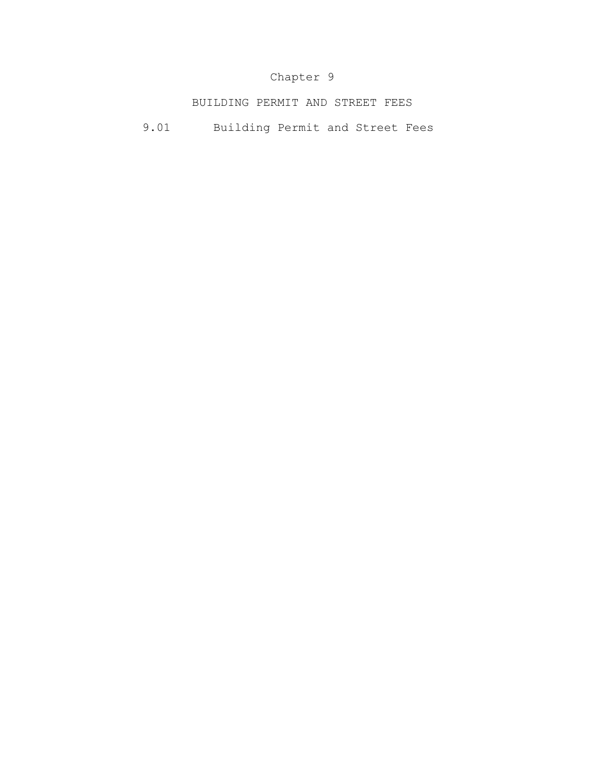## Chapter 9

BUILDING PERMIT AND STREET FEES

9.01 Building Permit and Street Fees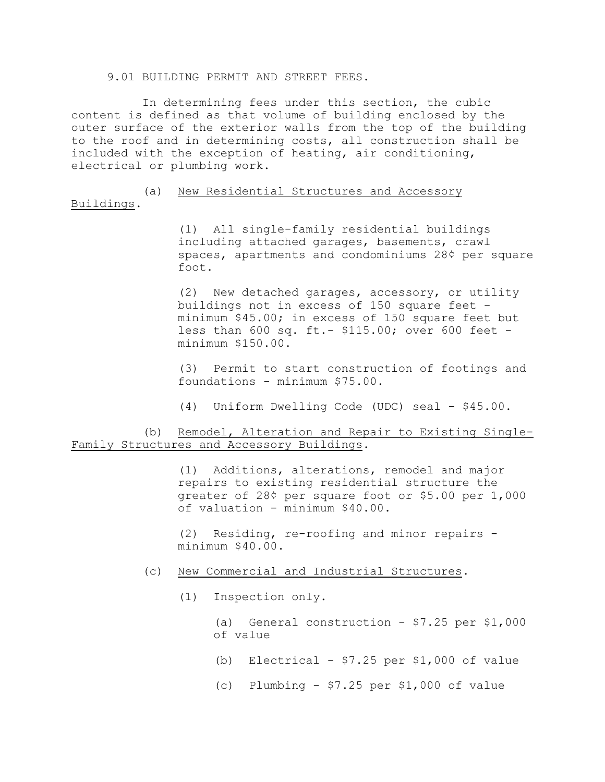9.01 BUILDING PERMIT AND STREET FEES.

In determining fees under this section, the cubic content is defined as that volume of building enclosed by the outer surface of the exterior walls from the top of the building to the roof and in determining costs, all construction shall be included with the exception of heating, air conditioning, electrical or plumbing work.

(a) New Residential Structures and Accessory Buildings.

> (1) All single-family residential buildings including attached garages, basements, crawl spaces, apartments and condominiums 28¢ per square foot.

(2) New detached garages, accessory, or utility buildings not in excess of 150 square feet minimum \$45.00; in excess of 150 square feet but less than 600 sq. ft.- \$115.00; over 600 feet minimum \$150.00.

(3) Permit to start construction of footings and foundations - minimum \$75.00.

(4) Uniform Dwelling Code (UDC) seal - \$45.00.

## (b) Remodel, Alteration and Repair to Existing Single-Family Structures and Accessory Buildings.

(1) Additions, alterations, remodel and major repairs to existing residential structure the greater of 28¢ per square foot or \$5.00 per 1,000 of valuation - minimum \$40.00.

(2) Residing, re-roofing and minor repairs minimum \$40.00.

- (c) New Commercial and Industrial Structures.
	- (1) Inspection only.

(a) General construction - \$7.25 per \$1,000 of value

- (b) Electrical  $$7.25$  per  $$1,000$  of value
- (c) Plumbing \$7.25 per \$1,000 of value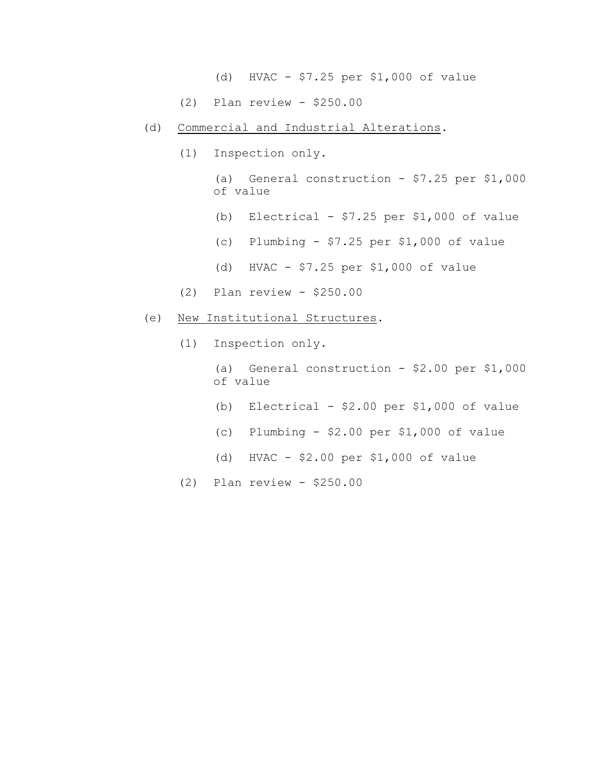- (d) HVAC \$7.25 per \$1,000 of value
- (2) Plan review \$250.00
- (d) Commercial and Industrial Alterations.
	- (1) Inspection only.

(a) General construction - \$7.25 per \$1,000 of value

- (b) Electrical  $$7.25$  per  $$1,000$  of value
- (c) Plumbing  $$7.25$  per  $$1,000$  of value
- (d) HVAC \$7.25 per \$1,000 of value
- (2) Plan review \$250.00
- (e) New Institutional Structures.
	- (1) Inspection only.

(a) General construction - \$2.00 per \$1,000 of value

- (b) Electrical  $$2.00$  per  $$1,000$  of value
- (c) Plumbing \$2.00 per \$1,000 of value
- (d) HVAC \$2.00 per \$1,000 of value
- (2) Plan review \$250.00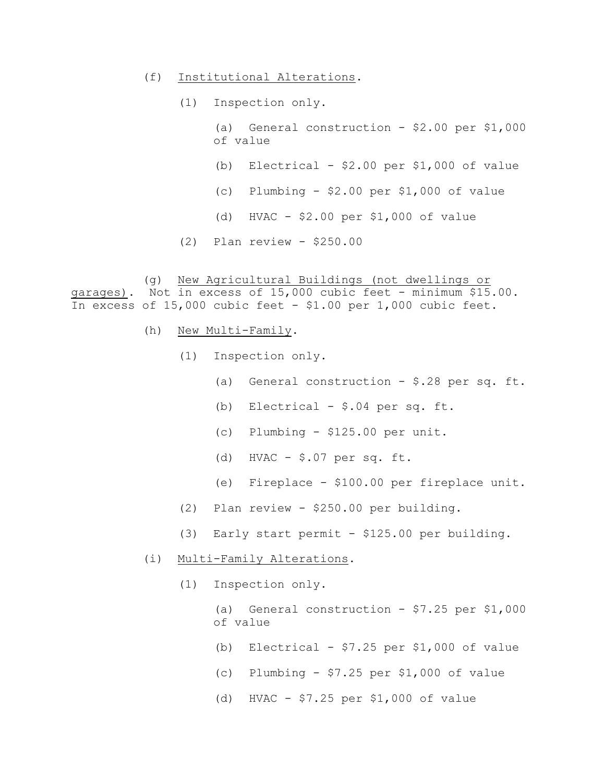- (f) Institutional Alterations.
	- (1) Inspection only.
		- (a) General construction  $-$  \$2.00 per \$1,000 of value
		- (b) Electrical  $$2.00$  per  $$1,000$  of value
		- (c) Plumbing \$2.00 per \$1,000 of value
		- (d) HVAC \$2.00 per \$1,000 of value
	- (2) Plan review \$250.00

(g) New Agricultural Buildings (not dwellings or garages). Not in excess of 15,000 cubic feet - minimum \$15.00. In excess of 15,000 cubic feet - \$1.00 per 1,000 cubic feet.

- (h) New Multi-Family.
	- (1) Inspection only.
		- (a) General construction \$.28 per sq. ft.
		- (b) Electrical \$.04 per sq. ft.
		- (c) Plumbing \$125.00 per unit.
		- (d) HVAC \$.07 per sq. ft.
		- (e) Fireplace \$100.00 per fireplace unit.
	- (2) Plan review \$250.00 per building.
	- (3) Early start permit \$125.00 per building.
- (i) Multi-Family Alterations.
	- (1) Inspection only.

(a) General construction -  $$7.25$  per  $$1,000$ of value

- (b) Electrical  $$7.25$  per  $$1,000$  of value
- (c) Plumbing \$7.25 per \$1,000 of value
- (d) HVAC \$7.25 per \$1,000 of value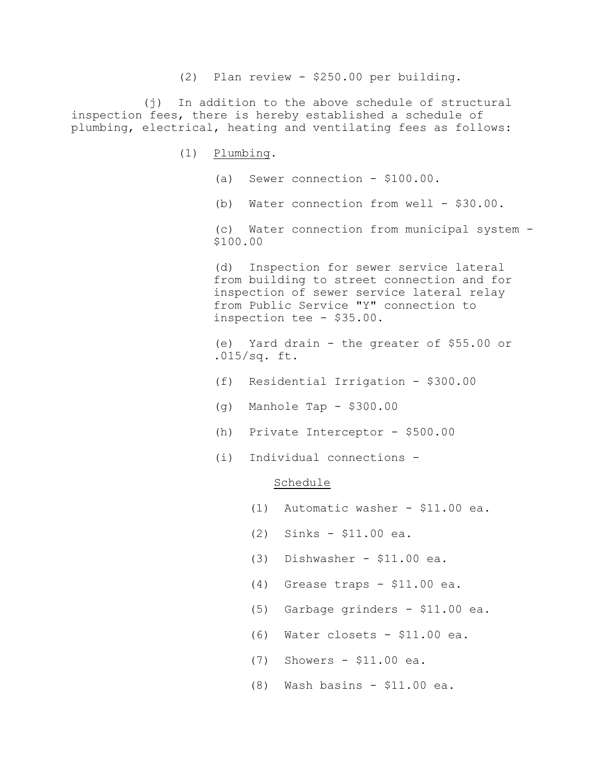(2) Plan review - \$250.00 per building.

(j) In addition to the above schedule of structural inspection fees, there is hereby established a schedule of plumbing, electrical, heating and ventilating fees as follows:

- (1) Plumbing.
	- (a) Sewer connection \$100.00.
	- (b) Water connection from well \$30.00.

(c) Water connection from municipal system - \$100.00

 (d) Inspection for sewer service lateral from building to street connection and for inspection of sewer service lateral relay from Public Service "Y" connection to inspection tee - \$35.00.

 (e) Yard drain - the greater of \$55.00 or .015/sq. ft.

- (f) Residential Irrigation \$300.00
- (g) Manhole Tap \$300.00
- (h) Private Interceptor \$500.00
- (i) Individual connections -

## Schedule

- (1) Automatic washer \$11.00 ea.
- (2) Sinks \$11.00 ea.
- (3) Dishwasher \$11.00 ea.
- (4) Grease traps \$11.00 ea.
- (5) Garbage grinders \$11.00 ea.
- (6) Water closets \$11.00 ea.
- (7) Showers \$11.00 ea.
- (8) Wash basins \$11.00 ea.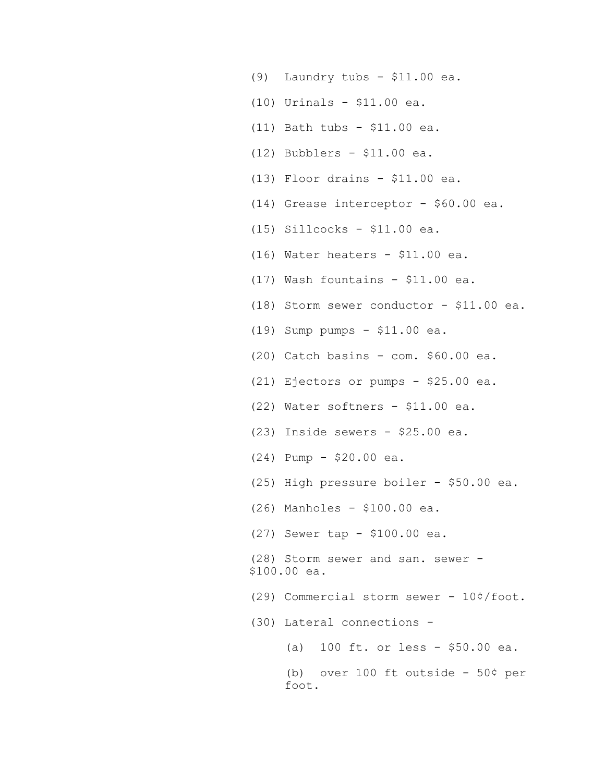- (9) Laundry tubs \$11.00 ea.
- (10) Urinals \$11.00 ea.
- (11) Bath tubs \$11.00 ea.
- (12) Bubblers \$11.00 ea.
- (13) Floor drains \$11.00 ea.
- (14) Grease interceptor \$60.00 ea.
- (15) Sillcocks \$11.00 ea.
- (16) Water heaters \$11.00 ea.
- (17) Wash fountains \$11.00 ea.
- (18) Storm sewer conductor \$11.00 ea.
- (19) Sump pumps \$11.00 ea.
- (20) Catch basins com. \$60.00 ea.
- (21) Ejectors or pumps \$25.00 ea.
- (22) Water softners \$11.00 ea.
- (23) Inside sewers \$25.00 ea.
- (24) Pump \$20.00 ea.
- (25) High pressure boiler \$50.00 ea.
- (26) Manholes \$100.00 ea.
- (27) Sewer tap \$100.00 ea.
- (28) Storm sewer and san. sewer \$100.00 ea.
- (29) Commercial storm sewer 10¢/foot.
- (30) Lateral connections
	- (a) 100 ft. or less \$50.00 ea.
	- (b) over 100 ft outside 50¢ per foot.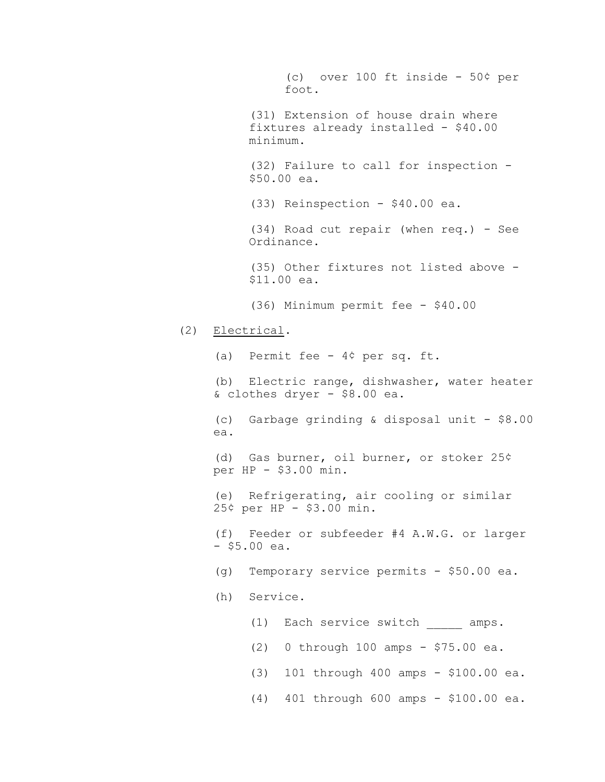(c) over 100 ft inside - 50¢ per foot. (31) Extension of house drain where fixtures already installed - \$40.00 minimum. (32) Failure to call for inspection - \$50.00 ea. (33) Reinspection - \$40.00 ea. (34) Road cut repair (when req.) - See Ordinance. (35) Other fixtures not listed above - \$11.00 ea. (36) Minimum permit fee - \$40.00 (2) Electrical. (a) Permit fee - 4¢ per sq. ft. (b) Electric range, dishwasher, water heater & clothes dryer - \$8.00 ea. (c) Garbage grinding & disposal unit - \$8.00 ea. (d) Gas burner, oil burner, or stoker 25¢ per HP - \$3.00 min. (e) Refrigerating, air cooling or similar 25¢ per HP - \$3.00 min. (f) Feeder or subfeeder #4 A.W.G. or larger - \$5.00 ea. (g) Temporary service permits - \$50.00 ea. (h) Service. (1) Each service switch amps. (2) 0 through 100 amps - \$75.00 ea. (3) 101 through 400 amps - \$100.00 ea. (4) 401 through 600 amps - \$100.00 ea.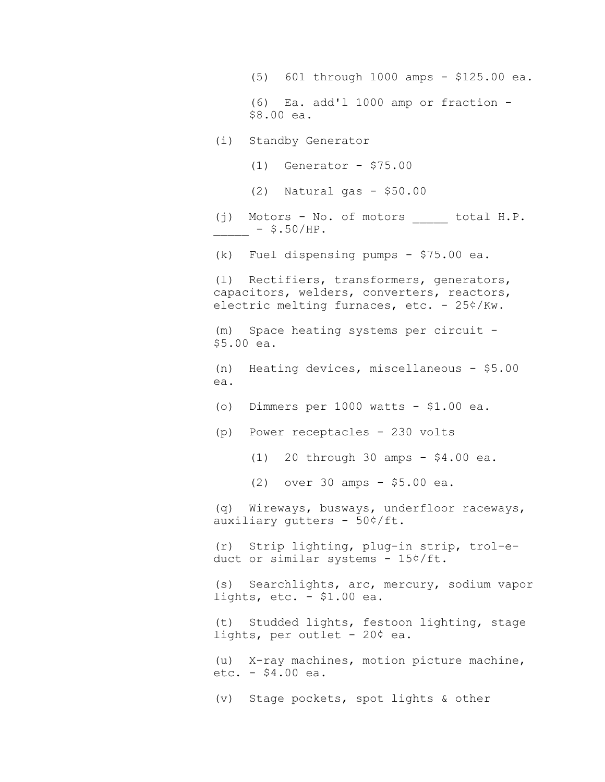(5) 601 through 1000 amps - \$125.00 ea. (6) Ea. add'l 1000 amp or fraction - \$8.00 ea. (i) Standby Generator (1) Generator - \$75.00 (2) Natural gas - \$50.00 (j) Motors - No. of motors total H.P.  $-$  \$.50/HP. (k) Fuel dispensing pumps - \$75.00 ea. (l) Rectifiers, transformers, generators, capacitors, welders, converters, reactors, electric melting furnaces, etc. - 25¢/Kw. (m) Space heating systems per circuit - \$5.00 ea. (n) Heating devices, miscellaneous - \$5.00 ea. (o) Dimmers per 1000 watts - \$1.00 ea. (p) Power receptacles - 230 volts (1) 20 through 30 amps - \$4.00 ea. (2) over 30 amps - \$5.00 ea. (q) Wireways, busways, underfloor raceways, auxiliary gutters - 50¢/ft. (r) Strip lighting, plug-in strip, trol-educt or similar systems - 15¢/ft. (s) Searchlights, arc, mercury, sodium vapor lights, etc. - \$1.00 ea. (t) Studded lights, festoon lighting, stage lights, per outlet - 20¢ ea. (u) X-ray machines, motion picture machine, etc. - \$4.00 ea. (v) Stage pockets, spot lights & other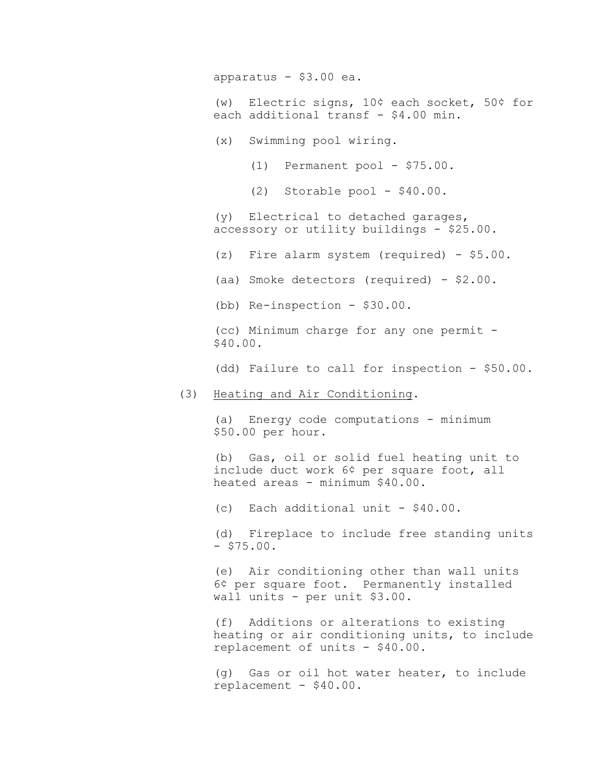apparatus - \$3.00 ea.

(w) Electric signs, 10¢ each socket, 50¢ for each additional transf - \$4.00 min.

- (x) Swimming pool wiring.
	- (1) Permanent pool \$75.00.
	- (2) Storable pool \$40.00.

(y) Electrical to detached garages, accessory or utility buildings - \$25.00.

- (z) Fire alarm system (required) \$5.00.
- (aa) Smoke detectors (required) \$2.00.

(bb) Re-inspection - \$30.00.

(cc) Minimum charge for any one permit - \$40.00.

(dd) Failure to call for inspection - \$50.00.

## (3) Heating and Air Conditioning.

(a) Energy code computations - minimum \$50.00 per hour.

(b) Gas, oil or solid fuel heating unit to include duct work 6¢ per square foot, all heated areas - minimum \$40.00.

(c) Each additional unit - \$40.00.

(d) Fireplace to include free standing units  $-$  \$75.00.

(e) Air conditioning other than wall units 6¢ per square foot. Permanently installed wall units - per unit \$3.00.

(f) Additions or alterations to existing heating or air conditioning units, to include replacement of units - \$40.00.

(g) Gas or oil hot water heater, to include replacement - \$40.00.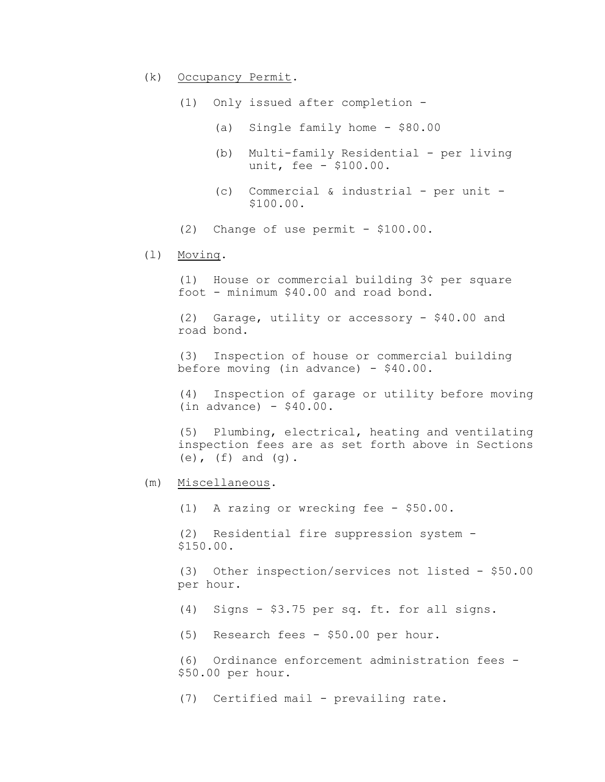- (k) Occupancy Permit.
	- (1) Only issued after completion
		- (a) Single family home \$80.00
		- (b) Multi-family Residential per living unit, fee - \$100.00.
		- (c) Commercial & industrial per unit \$100.00.
	- $(2)$  Change of use permit \$100.00.
- (l) Moving.

(1) House or commercial building 3¢ per square foot - minimum \$40.00 and road bond.

(2) Garage, utility or accessory - \$40.00 and road bond.

(3) Inspection of house or commercial building before moving (in advance) - \$40.00.

(4) Inspection of garage or utility before moving  $(in advance) - $40.00.$ 

(5) Plumbing, electrical, heating and ventilating inspection fees are as set forth above in Sections  $(e)$ ,  $(f)$  and  $(q)$ .

(m) Miscellaneous.

(1) A razing or wrecking fee - \$50.00.

(2) Residential fire suppression system - \$150.00.

(3) Other inspection/services not listed - \$50.00 per hour.

- (4) Signs \$3.75 per sq. ft. for all signs.
- (5) Research fees \$50.00 per hour.

(6) Ordinance enforcement administration fees - \$50.00 per hour.

(7) Certified mail - prevailing rate.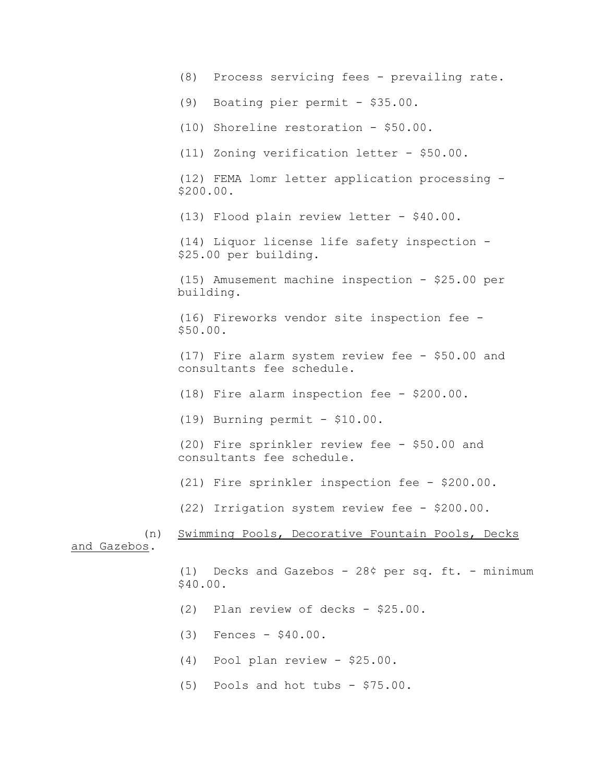(8) Process servicing fees - prevailing rate. (9) Boating pier permit - \$35.00. (10) Shoreline restoration - \$50.00. (11) Zoning verification letter - \$50.00. (12) FEMA lomr letter application processing - \$200.00. (13) Flood plain review letter - \$40.00. (14) Liquor license life safety inspection - \$25.00 per building. (15) Amusement machine inspection - \$25.00 per building. (16) Fireworks vendor site inspection fee - \$50.00. (17) Fire alarm system review fee - \$50.00 and consultants fee schedule. (18) Fire alarm inspection fee - \$200.00. (19) Burning permit - \$10.00. (20) Fire sprinkler review fee - \$50.00 and consultants fee schedule. (21) Fire sprinkler inspection fee - \$200.00. (22) Irrigation system review fee - \$200.00. (n) Swimming Pools, Decorative Fountain Pools, Decks and Gazebos. (1) Decks and Gazebos - 28¢ per sq. ft. - minimum \$40.00. (2) Plan review of decks - \$25.00. (3) Fences - \$40.00. (4) Pool plan review - \$25.00. (5) Pools and hot tubs - \$75.00.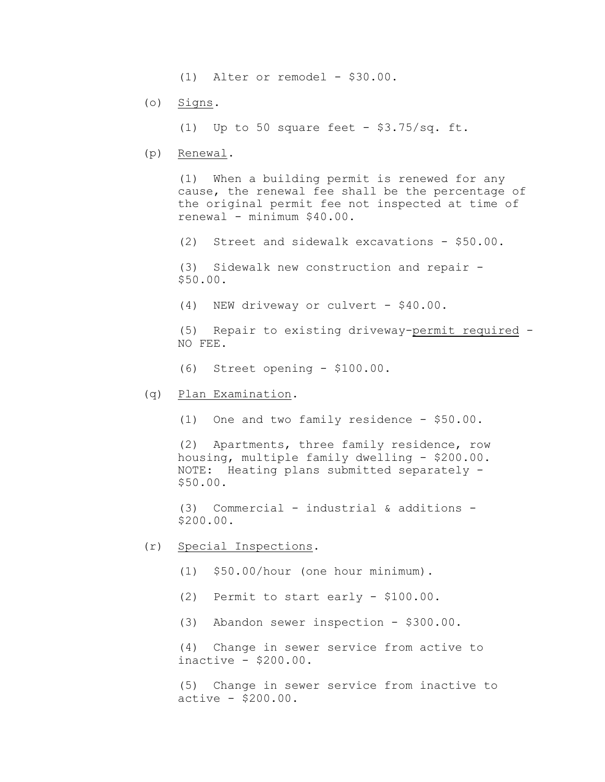(1) Alter or remodel - \$30.00.

(o) Signs.

(1) Up to 50 square feet -  $$3.75/sq$ . ft.

(p) Renewal.

(1) When a building permit is renewed for any cause, the renewal fee shall be the percentage of the original permit fee not inspected at time of renewal - minimum \$40.00.

(2) Street and sidewalk excavations - \$50.00.

(3) Sidewalk new construction and repair - \$50.00.

(4) NEW driveway or culvert - \$40.00.

(5) Repair to existing driveway-permit required - NO FEE.

- (6) Street opening \$100.00.
- (q) Plan Examination.
	- (1) One and two family residence \$50.00.

(2) Apartments, three family residence, row housing, multiple family dwelling - \$200.00. NOTE: Heating plans submitted separately - \$50.00.

 $(3)$  Commercial - industrial & additions -\$200.00.

- (r) Special Inspections.
	- (1) \$50.00/hour (one hour minimum).
	- (2) Permit to start early \$100.00.
	- (3) Abandon sewer inspection \$300.00.

(4) Change in sewer service from active to inactive - \$200.00.

(5) Change in sewer service from inactive to active - \$200.00.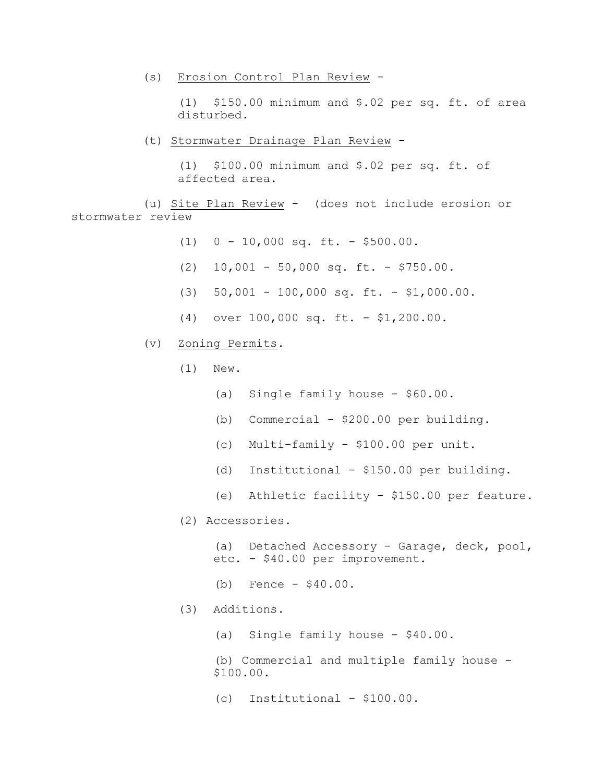(s) Erosion Control Plan Review -

(1) \$150.00 minimum and \$.02 per sq. ft. of area disturbed.

(t) Stormwater Drainage Plan Review -

(1) \$100.00 minimum and \$.02 per sq. ft. of affected area.

(u) Site Plan Review - (does not include erosion or stormwater review

- (1) 0 10,000 sq. ft. \$500.00.
- (2) 10,001 50,000 sq. ft. \$750.00.
- (3) 50,001 100,000 sq. ft. \$1,000.00.
- (4) over 100,000 sq. ft. \$1,200.00.
- (v) Zoning Permits.
	- (1) New.
		- (a) Single family house \$60.00.
		- (b) Commercial  $-$  \$200.00 per building.
		- (c) Multi-family \$100.00 per unit.
		- (d) Institutional \$150.00 per building.
		- (e) Athletic facility \$150.00 per feature.
	- (2) Accessories.

(a) Detached Accessory - Garage, deck, pool, etc. - \$40.00 per improvement.

- (b) Fence \$40.00.
- (3) Additions.
	- (a) Single family house \$40.00.

(b) Commercial and multiple family house - \$100.00.

(c) Institutional - \$100.00.